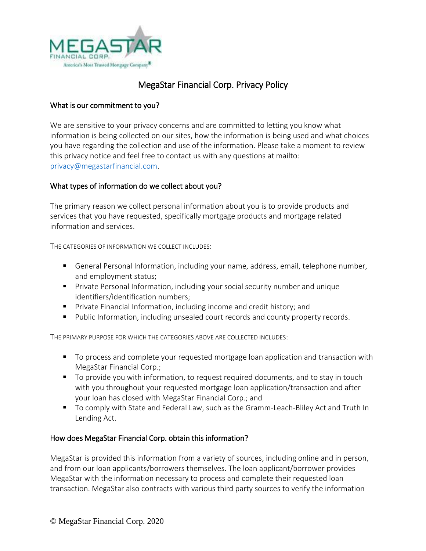

# MegaStar Financial Corp. Privacy Policy

### What is our commitment to you?

We are sensitive to your privacy concerns and are committed to letting you know what information is being collected on our sites, how the information is being used and what choices you have regarding the collection and use of the information. Please take a moment to review this privacy notice and feel free to contact us with any questions at mailto: [privacy@megastarfinancial.com.](mailto:privacy@megastarfinancial.com)

### What types of information do we collect about you?

The primary reason we collect personal information about you is to provide products and services that you have requested, specifically mortgage products and mortgage related information and services.

THE CATEGORIES OF INFORMATION WE COLLECT INCLUDES:

- General Personal Information, including your name, address, email, telephone number, and employment status;
- **Private Personal Information, including your social security number and unique** identifiers/identification numbers;
- **Private Financial Information, including income and credit history; and**
- **Public Information, including unsealed court records and county property records.**

THE PRIMARY PURPOSE FOR WHICH THE CATEGORIES ABOVE ARE COLLECTED INCLUDES:

- To process and complete your requested mortgage loan application and transaction with MegaStar Financial Corp.;
- To provide you with information, to request required documents, and to stay in touch with you throughout your requested mortgage loan application/transaction and after your loan has closed with MegaStar Financial Corp.; and
- To comply with State and Federal Law, such as the Gramm-Leach-Bliley Act and Truth In Lending Act.

#### How does MegaStar Financial Corp. obtain this information?

MegaStar is provided this information from a variety of sources, including online and in person, and from our loan applicants/borrowers themselves. The loan applicant/borrower provides MegaStar with the information necessary to process and complete their requested loan transaction. MegaStar also contracts with various third party sources to verify the information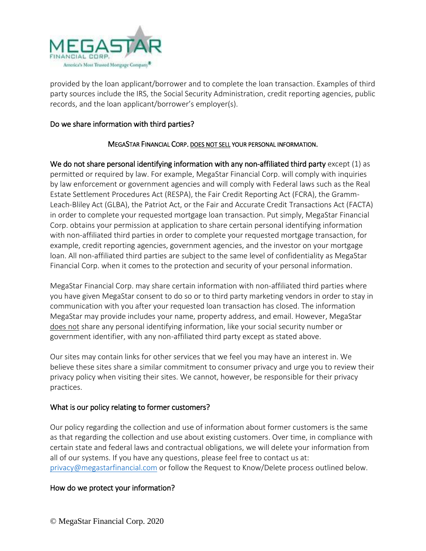

provided by the loan applicant/borrower and to complete the loan transaction. Examples of third party sources include the IRS, the Social Security Administration, credit reporting agencies, public records, and the loan applicant/borrower's employer(s).

#### Do we share information with third parties?

#### MEGASTAR FINANCIAL CORP. DOES NOT SELL YOUR PERSONAL INFORMATION.

We do not share personal identifying information with any non-affiliated third party except (1) as permitted or required by law. For example, MegaStar Financial Corp. will comply with inquiries by law enforcement or government agencies and will comply with Federal laws such as the Real Estate Settlement Procedures Act (RESPA), the Fair Credit Reporting Act (FCRA), the Gramm-Leach-Bliley Act (GLBA), the Patriot Act, or the Fair and Accurate Credit Transactions Act (FACTA) in order to complete your requested mortgage loan transaction. Put simply, MegaStar Financial Corp. obtains your permission at application to share certain personal identifying information with non-affiliated third parties in order to complete your requested mortgage transaction, for example, credit reporting agencies, government agencies, and the investor on your mortgage loan. All non-affiliated third parties are subject to the same level of confidentiality as MegaStar Financial Corp. when it comes to the protection and security of your personal information.

MegaStar Financial Corp. may share certain information with non-affiliated third parties where you have given MegaStar consent to do so or to third party marketing vendors in order to stay in communication with you after your requested loan transaction has closed. The information MegaStar may provide includes your name, property address, and email. However, MegaStar does not share any personal identifying information, like your social security number or government identifier, with any non-affiliated third party except as stated above.

Our sites may contain links for other services that we feel you may have an interest in. We believe these sites share a similar commitment to consumer privacy and urge you to review their privacy policy when visiting their sites. We cannot, however, be responsible for their privacy practices.

#### What is our policy relating to former customers?

Our policy regarding the collection and use of information about former customers is the same as that regarding the collection and use about existing customers. Over time, in compliance with certain state and federal laws and contractual obligations, we will delete your information from all of our systems. If you have any questions, please feel free to contact us at: [privacy@megastarfinancial.com](mailto:privacy@megastarfinancial.com) or follow the Request to Know/Delete process outlined below.

#### How do we protect your information?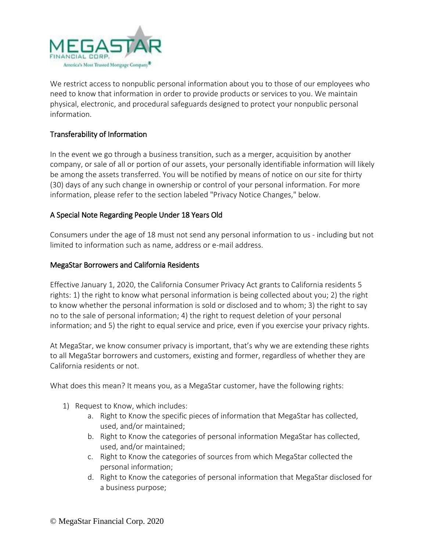

We restrict access to nonpublic personal information about you to those of our employees who need to know that information in order to provide products or services to you. We maintain physical, electronic, and procedural safeguards designed to protect your nonpublic personal information.

### Transferability of Information

In the event we go through a business transition, such as a merger, acquisition by another company, or sale of all or portion of our assets, your personally identifiable information will likely be among the assets transferred. You will be notified by means of notice on our site for thirty (30) days of any such change in ownership or control of your personal information. For more information, please refer to the section labeled "Privacy Notice Changes," below.

### A Special Note Regarding People Under 18 Years Old

Consumers under the age of 18 must not send any personal information to us - including but not limited to information such as name, address or e-mail address.

#### MegaStar Borrowers and California Residents

Effective January 1, 2020, the California Consumer Privacy Act grants to California residents 5 rights: 1) the right to know what personal information is being collected about you; 2) the right to know whether the personal information is sold or disclosed and to whom; 3) the right to say no to the sale of personal information; 4) the right to request deletion of your personal information; and 5) the right to equal service and price, even if you exercise your privacy rights.

At MegaStar, we know consumer privacy is important, that's why we are extending these rights to all MegaStar borrowers and customers, existing and former, regardless of whether they are California residents or not.

What does this mean? It means you, as a MegaStar customer, have the following rights:

- 1) Request to Know, which includes:
	- a. Right to Know the specific pieces of information that MegaStar has collected, used, and/or maintained;
	- b. Right to Know the categories of personal information MegaStar has collected, used, and/or maintained;
	- c. Right to Know the categories of sources from which MegaStar collected the personal information;
	- d. Right to Know the categories of personal information that MegaStar disclosed for a business purpose;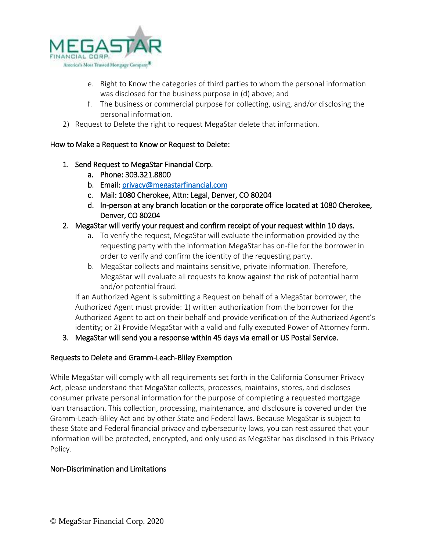

- e. Right to Know the categories of third parties to whom the personal information was disclosed for the business purpose in (d) above; and
- f. The business or commercial purpose for collecting, using, and/or disclosing the personal information.
- 2) Request to Delete the right to request MegaStar delete that information.

# How to Make a Request to Know or Request to Delete:

# 1. Send Request to MegaStar Financial Corp.

- a. Phone: 303.321.8800
- b. Email[: privacy@megastarfinancial.com](mailto:privacy@megastarfinancial.com)
- c. Mail: 1080 Cherokee, Attn: Legal, Denver, CO 80204
- d. In-person at any branch location or the corporate office located at 1080 Cherokee, Denver, CO 80204

# 2. MegaStar will verify your request and confirm receipt of your request within 10 days.

- a. To verify the request, MegaStar will evaluate the information provided by the requesting party with the information MegaStar has on-file for the borrower in order to verify and confirm the identity of the requesting party.
- b. MegaStar collects and maintains sensitive, private information. Therefore, MegaStar will evaluate all requests to know against the risk of potential harm and/or potential fraud.

If an Authorized Agent is submitting a Request on behalf of a MegaStar borrower, the Authorized Agent must provide: 1) written authorization from the borrower for the Authorized Agent to act on their behalf and provide verification of the Authorized Agent's identity; or 2) Provide MegaStar with a valid and fully executed Power of Attorney form.

3. MegaStar will send you a response within 45 days via email or US Postal Service.

### Requests to Delete and Gramm-Leach-Bliley Exemption

While MegaStar will comply with all requirements set forth in the California Consumer Privacy Act, please understand that MegaStar collects, processes, maintains, stores, and discloses consumer private personal information for the purpose of completing a requested mortgage loan transaction. This collection, processing, maintenance, and disclosure is covered under the Gramm-Leach-Bliley Act and by other State and Federal laws. Because MegaStar is subject to these State and Federal financial privacy and cybersecurity laws, you can rest assured that your information will be protected, encrypted, and only used as MegaStar has disclosed in this Privacy Policy.

### Non-Discrimination and Limitations